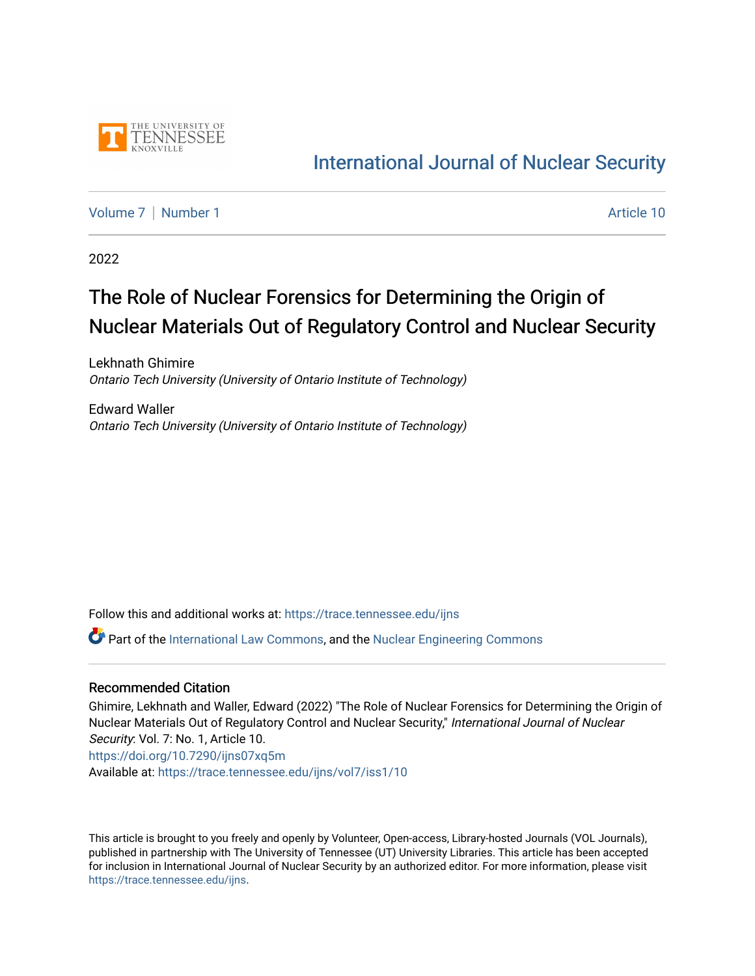

# [International Journal of Nuclear Security](https://trace.tennessee.edu/ijns)

[Volume 7](https://trace.tennessee.edu/ijns/vol7) | [Number 1](https://trace.tennessee.edu/ijns/vol7/iss1) Article 10

2022

# The Role of Nuclear Forensics for Determining the Origin of Nuclear Materials Out of Regulatory Control and Nuclear Security

Lekhnath Ghimire Ontario Tech University (University of Ontario Institute of Technology)

Edward Waller Ontario Tech University (University of Ontario Institute of Technology)

Follow this and additional works at: [https://trace.tennessee.edu/ijns](https://trace.tennessee.edu/ijns?utm_source=trace.tennessee.edu%2Fijns%2Fvol7%2Fiss1%2F10&utm_medium=PDF&utm_campaign=PDFCoverPages) 

**C** Part of the [International Law Commons,](http://network.bepress.com/hgg/discipline/609?utm_source=trace.tennessee.edu%2Fijns%2Fvol7%2Fiss1%2F10&utm_medium=PDF&utm_campaign=PDFCoverPages) and the [Nuclear Engineering Commons](http://network.bepress.com/hgg/discipline/314?utm_source=trace.tennessee.edu%2Fijns%2Fvol7%2Fiss1%2F10&utm_medium=PDF&utm_campaign=PDFCoverPages)

#### Recommended Citation

Ghimire, Lekhnath and Waller, Edward (2022) "The Role of Nuclear Forensics for Determining the Origin of Nuclear Materials Out of Regulatory Control and Nuclear Security," International Journal of Nuclear Security: Vol. 7: No. 1, Article 10. <https://doi.org/10.7290/ijns07xq5m> Available at: [https://trace.tennessee.edu/ijns/vol7/iss1/10](https://trace.tennessee.edu/ijns/vol7/iss1/10?utm_source=trace.tennessee.edu%2Fijns%2Fvol7%2Fiss1%2F10&utm_medium=PDF&utm_campaign=PDFCoverPages) 

This article is brought to you freely and openly by Volunteer, Open-access, Library-hosted Journals (VOL Journals), published in partnership with The University of Tennessee (UT) University Libraries. This article has been accepted for inclusion in International Journal of Nuclear Security by an authorized editor. For more information, please visit [https://trace.tennessee.edu/ijns.](https://trace.tennessee.edu/ijns)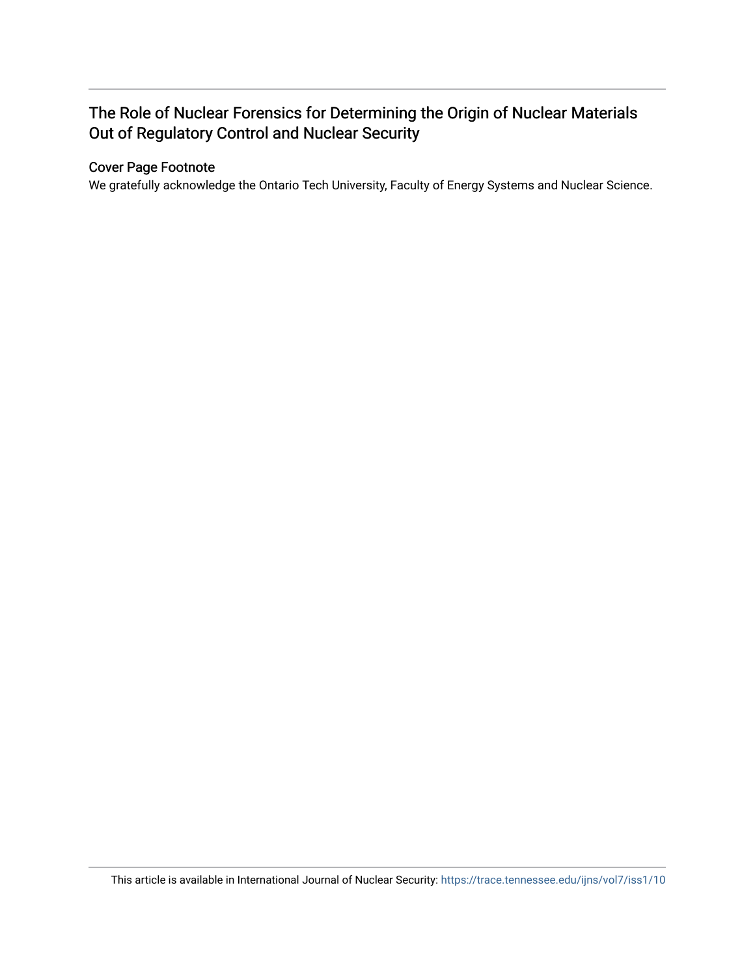### The Role of Nuclear Forensics for Determining the Origin of Nuclear Materials Out of Regulatory Control and Nuclear Security

#### Cover Page Footnote

We gratefully acknowledge the Ontario Tech University, Faculty of Energy Systems and Nuclear Science.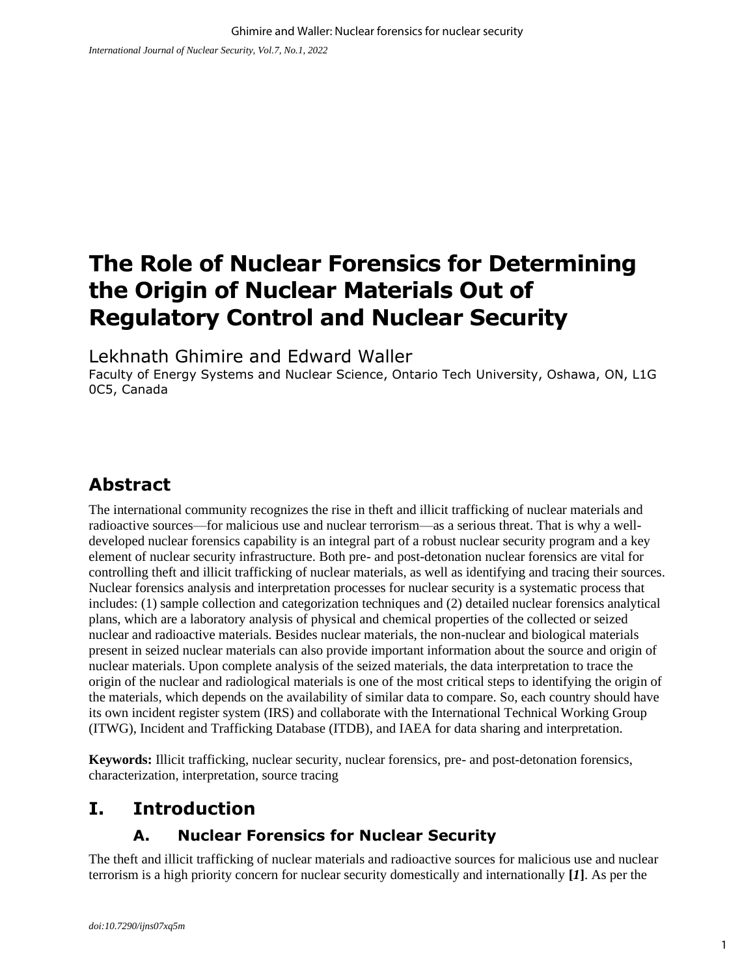# **The Role of Nuclear Forensics for Determining the Origin of Nuclear Materials Out of Regulatory Control and Nuclear Security**

Lekhnath Ghimire and Edward Waller

Faculty of Energy Systems and Nuclear Science, Ontario Tech University, Oshawa, ON, L1G 0C5, Canada

# **Abstract**

The international community recognizes the rise in theft and illicit trafficking of nuclear materials and radioactive sources—for malicious use and nuclear terrorism—as a serious threat. That is why a welldeveloped nuclear forensics capability is an integral part of a robust nuclear security program and a key element of nuclear security infrastructure. Both pre- and post-detonation nuclear forensics are vital for controlling theft and illicit trafficking of nuclear materials, as well as identifying and tracing their sources. Nuclear forensics analysis and interpretation processes for nuclear security is a systematic process that includes: (1) sample collection and categorization techniques and (2) detailed nuclear forensics analytical plans, which are a laboratory analysis of physical and chemical properties of the collected or seized nuclear and radioactive materials. Besides nuclear materials, the non-nuclear and biological materials present in seized nuclear materials can also provide important information about the source and origin of nuclear materials. Upon complete analysis of the seized materials, the data interpretation to trace the origin of the nuclear and radiological materials is one of the most critical steps to identifying the origin of the materials, which depends on the availability of similar data to compare. So, each country should have its own incident register system (IRS) and collaborate with the International Technical Working Group (ITWG), Incident and Trafficking Database (ITDB), and IAEA for data sharing and interpretation.

**Keywords:** Illicit trafficking, nuclear security, nuclear forensics, pre- and post-detonation forensics, characterization, interpretation, source tracing

# **I. Introduction**

### **A. Nuclear Forensics for Nuclear Security**

The theft and illicit trafficking of nuclear materials and radioactive sources for malicious use and nuclear terrorism is a high priority concern for nuclear security domestically and internationally **[***1***]**. As per the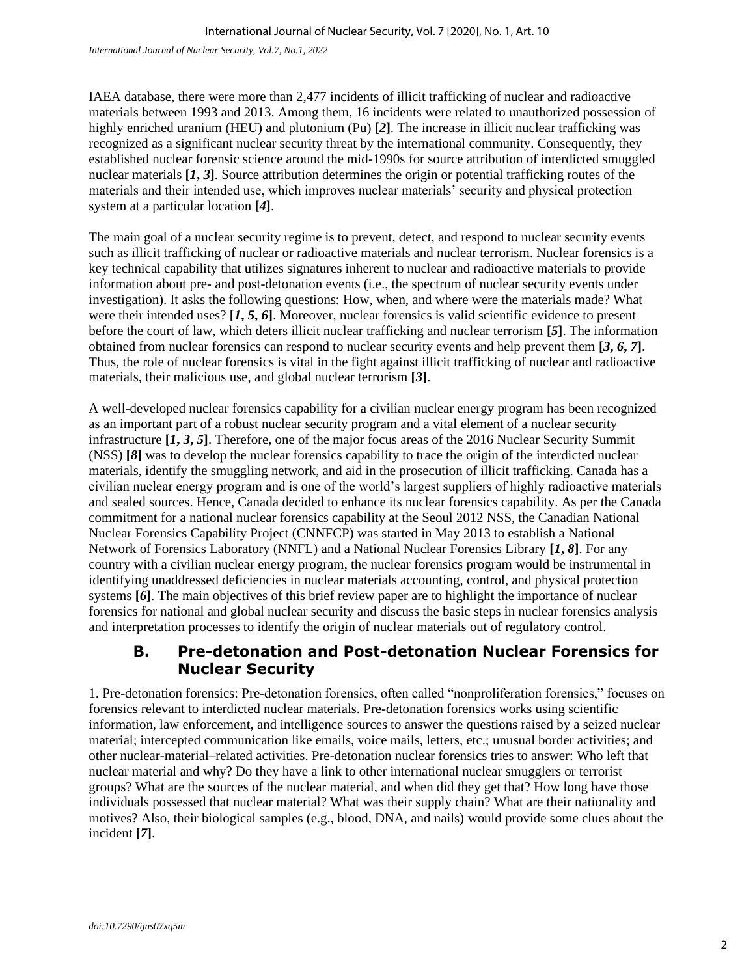*International Journal of Nuclear Security, Vol.7, No.1, 2022*

IAEA database, there were more than 2,477 incidents of illicit trafficking of nuclear and radioactive materials between 1993 and 2013. Among them, 16 incidents were related to unauthorized possession of highly enriched uranium (HEU) and plutonium (Pu) **[***2***]**. The increase in illicit nuclear trafficking was recognized as a significant nuclear security threat by the international community. Consequently, they established nuclear forensic science around the mid-1990s for source attribution of interdicted smuggled nuclear materials **[***1***,** *3***]**. Source attribution determines the origin or potential trafficking routes of the materials and their intended use, which improves nuclear materials' security and physical protection system at a particular location **[***4***]**.

The main goal of a nuclear security regime is to prevent, detect, and respond to nuclear security events such as illicit trafficking of nuclear or radioactive materials and nuclear terrorism. Nuclear forensics is a key technical capability that utilizes signatures inherent to nuclear and radioactive materials to provide information about pre- and post-detonation events (i.e., the spectrum of nuclear security events under investigation). It asks the following questions: How, when, and where were the materials made? What were their intended uses? **[***1***,** *5***,** *6***]**. Moreover, nuclear forensics is valid scientific evidence to present before the court of law, which deters illicit nuclear trafficking and nuclear terrorism **[***5***]**. The information obtained from nuclear forensics can respond to nuclear security events and help prevent them **[***3***,** *6***,** *7***]**. Thus, the role of nuclear forensics is vital in the fight against illicit trafficking of nuclear and radioactive materials, their malicious use, and global nuclear terrorism **[***3***]**.

A well-developed nuclear forensics capability for a civilian nuclear energy program has been recognized as an important part of a robust nuclear security program and a vital element of a nuclear security infrastructure **[***1***,** *3***,** *5***]**. Therefore, one of the major focus areas of the 2016 Nuclear Security Summit (NSS) **[***8***]** was to develop the nuclear forensics capability to trace the origin of the interdicted nuclear materials, identify the smuggling network, and aid in the prosecution of illicit trafficking. Canada has a civilian nuclear energy program and is one of the world's largest suppliers of highly radioactive materials and sealed sources. Hence, Canada decided to enhance its nuclear forensics capability. As per the Canada commitment for a national nuclear forensics capability at the Seoul 2012 NSS, the Canadian National Nuclear Forensics Capability Project (CNNFCP) was started in May 2013 to establish a National Network of Forensics Laboratory (NNFL) and a National Nuclear Forensics Library **[***1***,** *8***]**. For any country with a civilian nuclear energy program, the nuclear forensics program would be instrumental in identifying unaddressed deficiencies in nuclear materials accounting, control, and physical protection systems **[***6***]**. The main objectives of this brief review paper are to highlight the importance of nuclear forensics for national and global nuclear security and discuss the basic steps in nuclear forensics analysis and interpretation processes to identify the origin of nuclear materials out of regulatory control.

#### **B. Pre-detonation and Post-detonation Nuclear Forensics for Nuclear Security**

1. Pre-detonation forensics: Pre-detonation forensics, often called "nonproliferation forensics," focuses on forensics relevant to interdicted nuclear materials. Pre-detonation forensics works using scientific information, law enforcement, and intelligence sources to answer the questions raised by a seized nuclear material; intercepted communication like emails, voice mails, letters, etc.; unusual border activities; and other nuclear-material–related activities. Pre-detonation nuclear forensics tries to answer: Who left that nuclear material and why? Do they have a link to other international nuclear smugglers or terrorist groups? What are the sources of the nuclear material, and when did they get that? How long have those individuals possessed that nuclear material? What was their supply chain? What are their nationality and motives? Also, their biological samples (e.g., blood, DNA, and nails) would provide some clues about the incident **[***7***]**.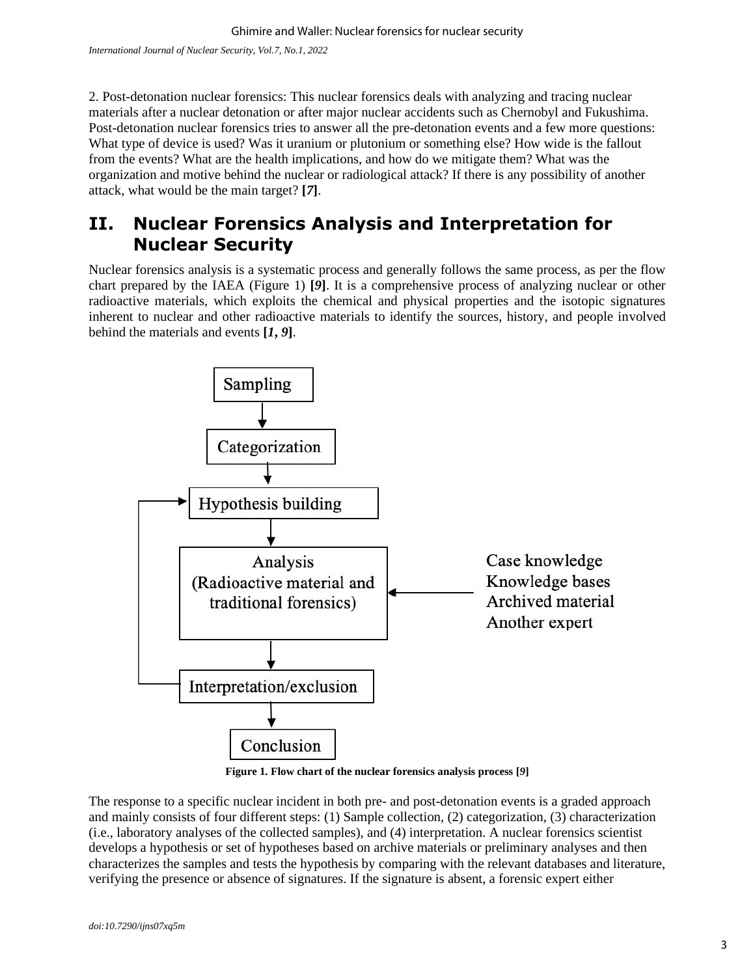2. Post-detonation nuclear forensics: This nuclear forensics deals with analyzing and tracing nuclear materials after a nuclear detonation or after major nuclear accidents such as Chernobyl and Fukushima. Post-detonation nuclear forensics tries to answer all the pre-detonation events and a few more questions: What type of device is used? Was it uranium or plutonium or something else? How wide is the fallout from the events? What are the health implications, and how do we mitigate them? What was the organization and motive behind the nuclear or radiological attack? If there is any possibility of another attack, what would be the main target? **[***7***]**.

### **II. Nuclear Forensics Analysis and Interpretation for Nuclear Security**

Nuclear forensics analysis is a systematic process and generally follows the same process, as per the flow chart prepared by the IAEA (Figure 1) **[***9***]**. It is a comprehensive process of analyzing nuclear or other radioactive materials, which exploits the chemical and physical properties and the isotopic signatures inherent to nuclear and other radioactive materials to identify the sources, history, and people involved behind the materials and events **[***1***,** *9***]**.



**Figure 1. Flow chart of the nuclear forensics analysis process [***9***]**

The response to a specific nuclear incident in both pre- and post-detonation events is a graded approach and mainly consists of four different steps: (1) Sample collection, (2) categorization, (3) characterization (i.e., laboratory analyses of the collected samples), and (4) interpretation. A nuclear forensics scientist develops a hypothesis or set of hypotheses based on archive materials or preliminary analyses and then characterizes the samples and tests the hypothesis by comparing with the relevant databases and literature, verifying the presence or absence of signatures. If the signature is absent, a forensic expert either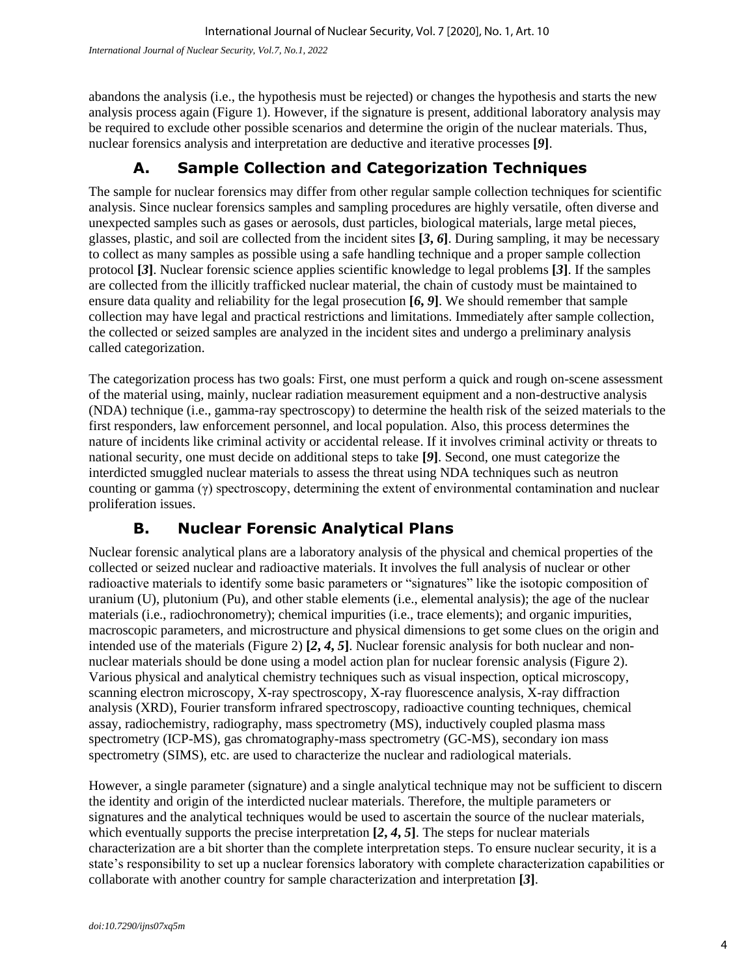abandons the analysis (i.e., the hypothesis must be rejected) or changes the hypothesis and starts the new analysis process again (Figure 1). However, if the signature is present, additional laboratory analysis may be required to exclude other possible scenarios and determine the origin of the nuclear materials. Thus, nuclear forensics analysis and interpretation are deductive and iterative processes **[***9***]**.

### **A. Sample Collection and Categorization Techniques**

The sample for nuclear forensics may differ from other regular sample collection techniques for scientific analysis. Since nuclear forensics samples and sampling procedures are highly versatile, often diverse and unexpected samples such as gases or aerosols, dust particles, biological materials, large metal pieces, glasses, plastic, and soil are collected from the incident sites **[***3***,** *6***]**. During sampling, it may be necessary to collect as many samples as possible using a safe handling technique and a proper sample collection protocol **[***3***]**. Nuclear forensic science applies scientific knowledge to legal problems **[***3***]**. If the samples are collected from the illicitly trafficked nuclear material, the chain of custody must be maintained to ensure data quality and reliability for the legal prosecution **[***6***,** *9***]**. We should remember that sample collection may have legal and practical restrictions and limitations. Immediately after sample collection, the collected or seized samples are analyzed in the incident sites and undergo a preliminary analysis called categorization.

The categorization process has two goals: First, one must perform a quick and rough on-scene assessment of the material using, mainly, nuclear radiation measurement equipment and a non-destructive analysis (NDA) technique (i.e., gamma-ray spectroscopy) to determine the health risk of the seized materials to the first responders, law enforcement personnel, and local population. Also, this process determines the nature of incidents like criminal activity or accidental release. If it involves criminal activity or threats to national security, one must decide on additional steps to take **[***9***]**. Second, one must categorize the interdicted smuggled nuclear materials to assess the threat using NDA techniques such as neutron counting or gamma (γ) spectroscopy, determining the extent of environmental contamination and nuclear proliferation issues.

### **B. Nuclear Forensic Analytical Plans**

Nuclear forensic analytical plans are a laboratory analysis of the physical and chemical properties of the collected or seized nuclear and radioactive materials. It involves the full analysis of nuclear or other radioactive materials to identify some basic parameters or "signatures" like the isotopic composition of uranium (U), plutonium (Pu), and other stable elements (i.e., elemental analysis); the age of the nuclear materials (i.e., radiochronometry); chemical impurities (i.e., trace elements); and organic impurities, macroscopic parameters, and microstructure and physical dimensions to get some clues on the origin and intended use of the materials (Figure 2) **[***2***,** *4***,** *5***]**. Nuclear forensic analysis for both nuclear and nonnuclear materials should be done using a model action plan for nuclear forensic analysis (Figure 2). Various physical and analytical chemistry techniques such as visual inspection, optical microscopy, scanning electron microscopy, X-ray spectroscopy, X-ray fluorescence analysis, X-ray diffraction analysis (XRD), Fourier transform infrared spectroscopy, radioactive counting techniques, chemical assay, radiochemistry, radiography, mass spectrometry (MS), inductively coupled plasma mass spectrometry (ICP-MS), gas chromatography-mass spectrometry (GC-MS), secondary ion mass spectrometry (SIMS), etc. are used to characterize the nuclear and radiological materials.

However, a single parameter (signature) and a single analytical technique may not be sufficient to discern the identity and origin of the interdicted nuclear materials. Therefore, the multiple parameters or signatures and the analytical techniques would be used to ascertain the source of the nuclear materials, which eventually supports the precise interpretation  $[2, 4, 5]$ . The steps for nuclear materials characterization are a bit shorter than the complete interpretation steps. To ensure nuclear security, it is a state's responsibility to set up a nuclear forensics laboratory with complete characterization capabilities or collaborate with another country for sample characterization and interpretation **[***3***]**.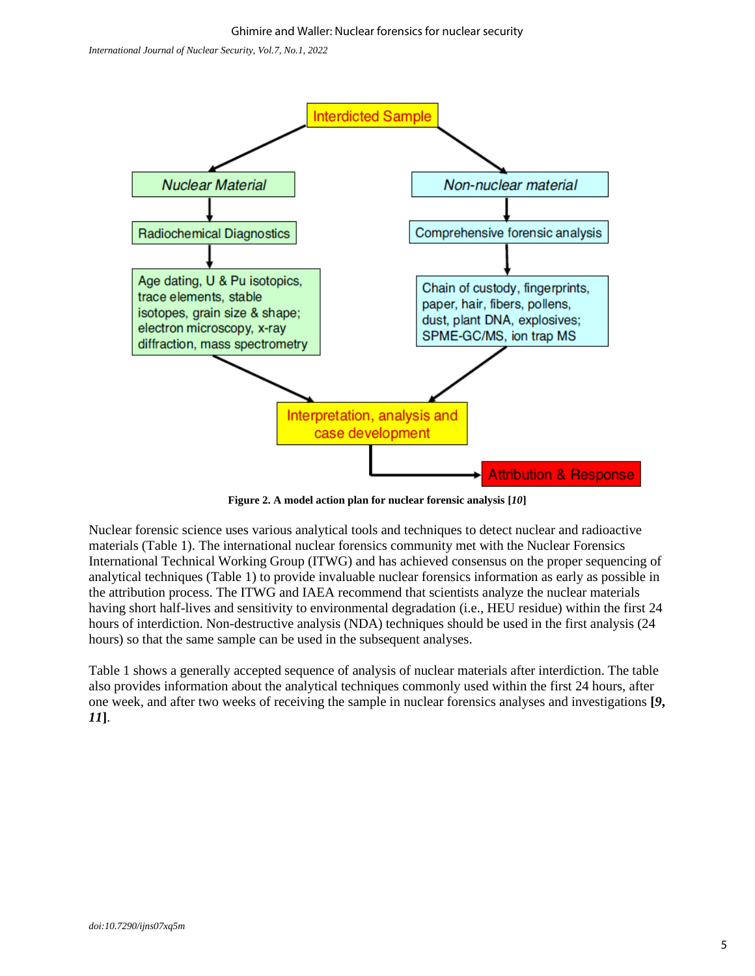

**Figure 2. A model action plan for nuclear forensic analysis [***10***]**

Nuclear forensic science uses various analytical tools and techniques to detect nuclear and radioactive materials (Table 1). The international nuclear forensics community met with the Nuclear Forensics International Technical Working Group (ITWG) and has achieved consensus on the proper sequencing of analytical techniques (Table 1) to provide invaluable nuclear forensics information as early as possible in the attribution process. The ITWG and IAEA recommend that scientists analyze the nuclear materials having short half-lives and sensitivity to environmental degradation (i.e., HEU residue) within the first 24 hours of interdiction. Non-destructive analysis (NDA) techniques should be used in the first analysis (24 hours) so that the same sample can be used in the subsequent analyses.

Table 1 shows a generally accepted sequence of analysis of nuclear materials after interdiction. The table also provides information about the analytical techniques commonly used within the first 24 hours, after one week, and after two weeks of receiving the sample in nuclear forensics analyses and investigations **[***9***,**  *11***]**.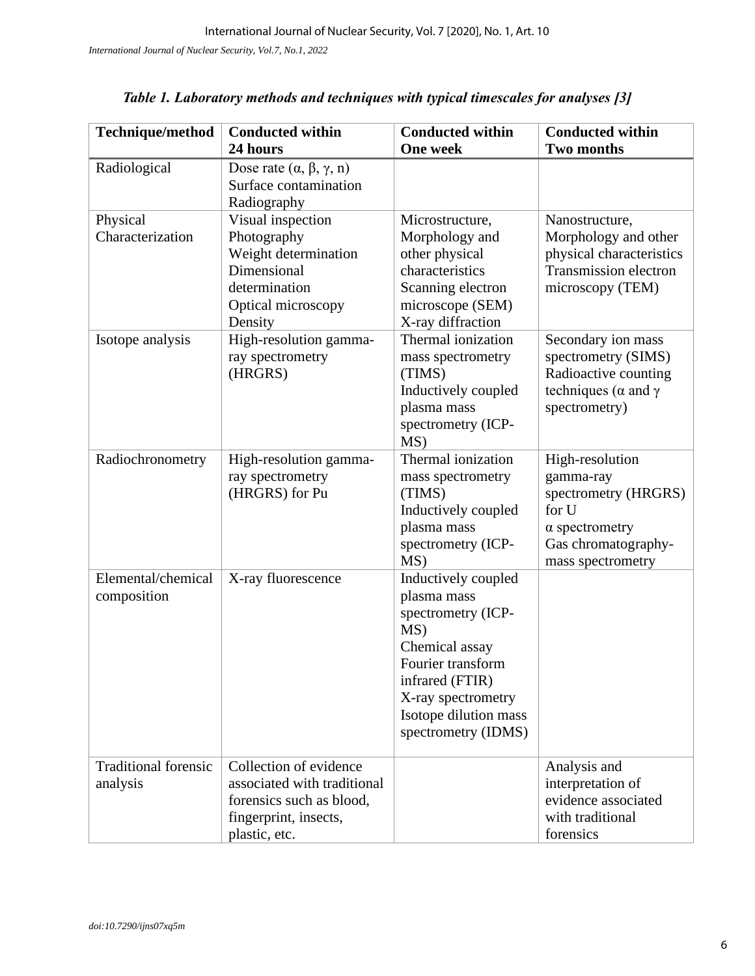| Technique/method                        | <b>Conducted within</b><br>24 hours                                                                                         | <b>Conducted within</b><br><b>One week</b>                                                                                                                                                      | <b>Conducted within</b><br><b>Two months</b>                                                                                       |
|-----------------------------------------|-----------------------------------------------------------------------------------------------------------------------------|-------------------------------------------------------------------------------------------------------------------------------------------------------------------------------------------------|------------------------------------------------------------------------------------------------------------------------------------|
| Radiological                            | Dose rate $(\alpha, \beta, \gamma, n)$<br>Surface contamination<br>Radiography                                              |                                                                                                                                                                                                 |                                                                                                                                    |
| Physical<br>Characterization            | Visual inspection<br>Photography<br>Weight determination<br>Dimensional<br>determination<br>Optical microscopy<br>Density   | Microstructure,<br>Morphology and<br>other physical<br>characteristics<br>Scanning electron<br>microscope (SEM)<br>X-ray diffraction                                                            | Nanostructure,<br>Morphology and other<br>physical characteristics<br>Transmission electron<br>microscopy (TEM)                    |
| Isotope analysis                        | High-resolution gamma-<br>ray spectrometry<br>(HRGRS)                                                                       | Thermal ionization<br>mass spectrometry<br>(TIMS)<br>Inductively coupled<br>plasma mass<br>spectrometry (ICP-<br>MS)                                                                            | Secondary ion mass<br>spectrometry (SIMS)<br>Radioactive counting<br>techniques ( $\alpha$ and $\gamma$<br>spectrometry)           |
| Radiochronometry                        | High-resolution gamma-<br>ray spectrometry<br>(HRGRS) for Pu                                                                | Thermal ionization<br>mass spectrometry<br>(TIMS)<br>Inductively coupled<br>plasma mass<br>spectrometry (ICP-<br>MS)                                                                            | High-resolution<br>gamma-ray<br>spectrometry (HRGRS)<br>for U<br>$\alpha$ spectrometry<br>Gas chromatography-<br>mass spectrometry |
| Elemental/chemical<br>composition       | X-ray fluorescence                                                                                                          | Inductively coupled<br>plasma mass<br>spectrometry (ICP-<br>MS)<br>Chemical assay<br>Fourier transform<br>infrared (FTIR)<br>X-ray spectrometry<br>Isotope dilution mass<br>spectrometry (IDMS) |                                                                                                                                    |
| <b>Traditional forensic</b><br>analysis | Collection of evidence<br>associated with traditional<br>forensics such as blood,<br>fingerprint, insects,<br>plastic, etc. |                                                                                                                                                                                                 | Analysis and<br>interpretation of<br>evidence associated<br>with traditional<br>forensics                                          |

| Table 1. Laboratory methods and techniques with typical timescales for analyses [3] |  |  |  |  |  |
|-------------------------------------------------------------------------------------|--|--|--|--|--|
|-------------------------------------------------------------------------------------|--|--|--|--|--|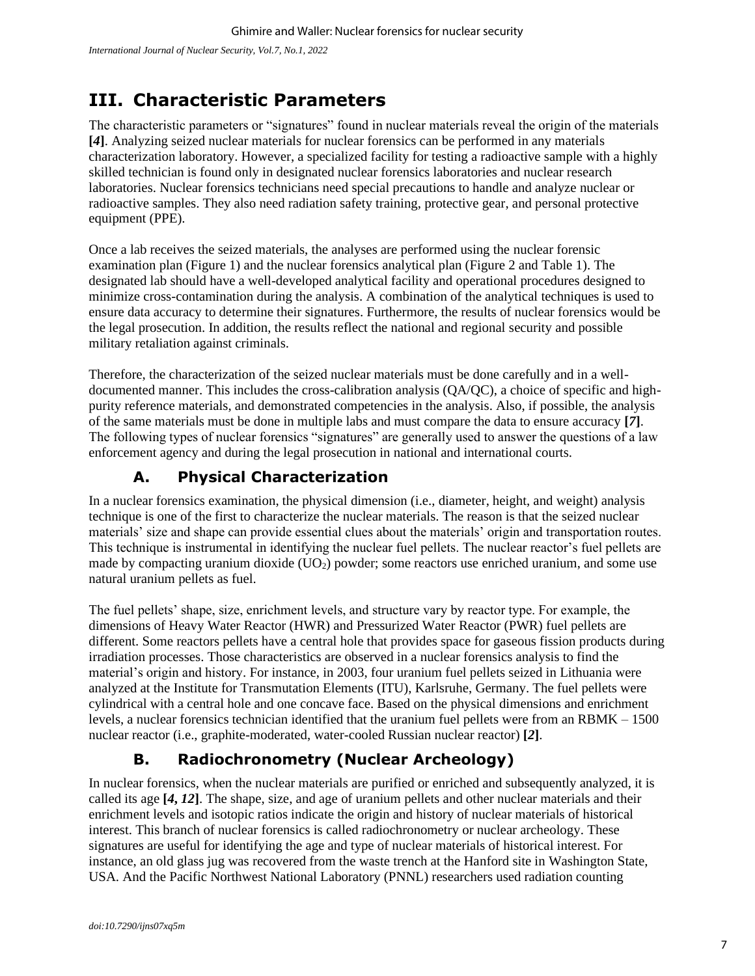# **III. Characteristic Parameters**

The characteristic parameters or "signatures" found in nuclear materials reveal the origin of the materials **[***4***]**. Analyzing seized nuclear materials for nuclear forensics can be performed in any materials characterization laboratory. However, a specialized facility for testing a radioactive sample with a highly skilled technician is found only in designated nuclear forensics laboratories and nuclear research laboratories. Nuclear forensics technicians need special precautions to handle and analyze nuclear or radioactive samples. They also need radiation safety training, protective gear, and personal protective equipment (PPE).

Once a lab receives the seized materials, the analyses are performed using the nuclear forensic examination plan (Figure 1) and the nuclear forensics analytical plan (Figure 2 and Table 1). The designated lab should have a well-developed analytical facility and operational procedures designed to minimize cross-contamination during the analysis. A combination of the analytical techniques is used to ensure data accuracy to determine their signatures. Furthermore, the results of nuclear forensics would be the legal prosecution. In addition, the results reflect the national and regional security and possible military retaliation against criminals.

Therefore, the characterization of the seized nuclear materials must be done carefully and in a welldocumented manner. This includes the cross-calibration analysis (QA/QC), a choice of specific and highpurity reference materials, and demonstrated competencies in the analysis. Also, if possible, the analysis of the same materials must be done in multiple labs and must compare the data to ensure accuracy **[***7***]**. The following types of nuclear forensics "signatures" are generally used to answer the questions of a law enforcement agency and during the legal prosecution in national and international courts.

### **A. Physical Characterization**

In a nuclear forensics examination, the physical dimension (i.e., diameter, height, and weight) analysis technique is one of the first to characterize the nuclear materials. The reason is that the seized nuclear materials' size and shape can provide essential clues about the materials' origin and transportation routes. This technique is instrumental in identifying the nuclear fuel pellets. The nuclear reactor's fuel pellets are made by compacting uranium dioxide (UO<sub>2</sub>) powder; some reactors use enriched uranium, and some use natural uranium pellets as fuel.

The fuel pellets' shape, size, enrichment levels, and structure vary by reactor type. For example, the dimensions of Heavy Water Reactor (HWR) and Pressurized Water Reactor (PWR) fuel pellets are different. Some reactors pellets have a central hole that provides space for gaseous fission products during irradiation processes. Those characteristics are observed in a nuclear forensics analysis to find the material's origin and history. For instance, in 2003, four uranium fuel pellets seized in Lithuania were analyzed at the Institute for Transmutation Elements (ITU), Karlsruhe, Germany. The fuel pellets were cylindrical with a central hole and one concave face. Based on the physical dimensions and enrichment levels, a nuclear forensics technician identified that the uranium fuel pellets were from an RBMK – 1500 nuclear reactor (i.e., graphite-moderated, water-cooled Russian nuclear reactor) **[***2***]**.

### **B. Radiochronometry (Nuclear Archeology)**

In nuclear forensics, when the nuclear materials are purified or enriched and subsequently analyzed, it is called its age **[***4***,** *12***]**. The shape, size, and age of uranium pellets and other nuclear materials and their enrichment levels and isotopic ratios indicate the origin and history of nuclear materials of historical interest. This branch of nuclear forensics is called radiochronometry or nuclear archeology. These signatures are useful for identifying the age and type of nuclear materials of historical interest. For instance, an old glass jug was recovered from the waste trench at the Hanford site in Washington State, USA. And the Pacific Northwest National Laboratory (PNNL) researchers used radiation counting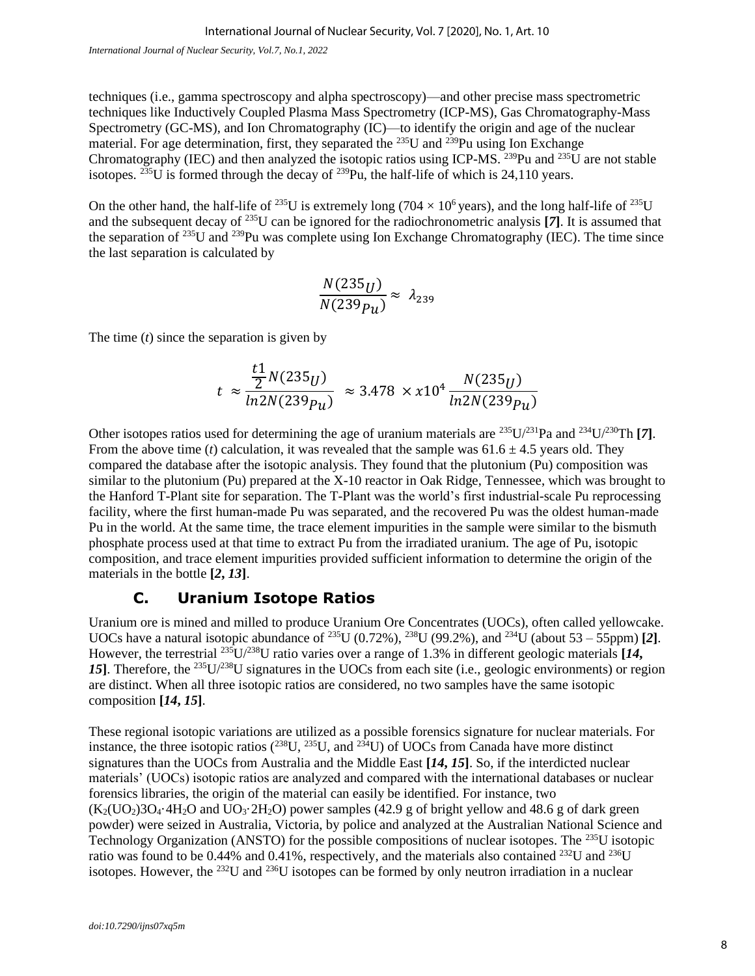techniques (i.e., gamma spectroscopy and alpha spectroscopy)—and other precise mass spectrometric techniques like Inductively Coupled Plasma Mass Spectrometry (ICP-MS), Gas Chromatography-Mass Spectrometry (GC-MS), and Ion Chromatography (IC)—to identify the origin and age of the nuclear material. For age determination, first, they separated the <sup>235</sup>U and <sup>239</sup>Pu using Ion Exchange Chromatography (IEC) and then analyzed the isotopic ratios using ICP-MS. <sup>239</sup>Pu and <sup>235</sup>U are not stable isotopes. <sup>235</sup>U is formed through the decay of <sup>239</sup>Pu, the half-life of which is 24,110 years.

On the other hand, the half-life of <sup>235</sup>U is extremely long (704  $\times$  10<sup>6</sup> years), and the long half-life of <sup>235</sup>U and the subsequent decay of <sup>235</sup>U can be ignored for the radiochronometric analysis **[***7***]**. It is assumed that the separation of <sup>235</sup>U and <sup>239</sup>Pu was complete using Ion Exchange Chromatography (IEC). The time since the last separation is calculated by

$$
\frac{N(235_U)}{N(239p_u)} \approx \lambda_{239}
$$

The time (*t*) since the separation is given by

$$
t \approx \frac{\frac{t1}{2}N(235_U)}{\ln 2N(239p_u)} \approx 3.478 \times x10^4 \frac{N(235_U)}{\ln 2N(239p_u)}
$$

Other isotopes ratios used for determining the age of uranium materials are <sup>235</sup>U/<sup>231</sup>Pa and <sup>234</sup>U/<sup>230</sup>Th **[***7***]**. From the above time (*t*) calculation, it was revealed that the sample was  $61.6 \pm 4.5$  years old. They compared the database after the isotopic analysis. They found that the plutonium (Pu) composition was similar to the plutonium (Pu) prepared at the X-10 reactor in Oak Ridge, Tennessee, which was brought to the Hanford T-Plant site for separation. The T-Plant was the world's first industrial-scale Pu reprocessing facility, where the first human-made Pu was separated, and the recovered Pu was the oldest human-made Pu in the world. At the same time, the trace element impurities in the sample were similar to the bismuth phosphate process used at that time to extract Pu from the irradiated uranium. The age of Pu, isotopic composition, and trace element impurities provided sufficient information to determine the origin of the materials in the bottle **[***2***,** *13***]**.

#### **C. Uranium Isotope Ratios**

Uranium ore is mined and milled to produce Uranium Ore Concentrates (UOCs), often called yellowcake. UOCs have a natural isotopic abundance of <sup>235</sup>U (0.72%), <sup>238</sup>U (99.2%), and <sup>234</sup>U (about 53 – 55ppm) [2]. However, the terrestrial <sup>235</sup>U/<sup>238</sup>U ratio varies over a range of 1.3% in different geologic materials **[***14***,**  15<sup>1</sup>. Therefore, the <sup>235</sup>U/<sup>238</sup>U signatures in the UOCs from each site (i.e., geologic environments) or region are distinct. When all three isotopic ratios are considered, no two samples have the same isotopic composition **[***14***,** *15***]**.

These regional isotopic variations are utilized as a possible forensics signature for nuclear materials. For instance, the three isotopic ratios  $(^{238}U, \frac{235}{U}$ , and  $^{234}U$ ) of UOCs from Canada have more distinct signatures than the UOCs from Australia and the Middle East **[***14***,** *15***]**. So, if the interdicted nuclear materials' (UOCs) isotopic ratios are analyzed and compared with the international databases or nuclear forensics libraries, the origin of the material can easily be identified. For instance, two  $(K<sub>2</sub>(UO<sub>2</sub>)3O<sub>4</sub>·4H<sub>2</sub>O$  and  $UO<sub>3</sub>·2H<sub>2</sub>O$ ) power samples (42.9 g of bright yellow and 48.6 g of dark green powder) were seized in Australia, Victoria, by police and analyzed at the Australian National Science and Technology Organization (ANSTO) for the possible compositions of nuclear isotopes. The <sup>235</sup>U isotopic ratio was found to be 0.44% and 0.41%, respectively, and the materials also contained <sup>232</sup>U and <sup>236</sup>U isotopes. However, the <sup>232</sup>U and <sup>236</sup>U isotopes can be formed by only neutron irradiation in a nuclear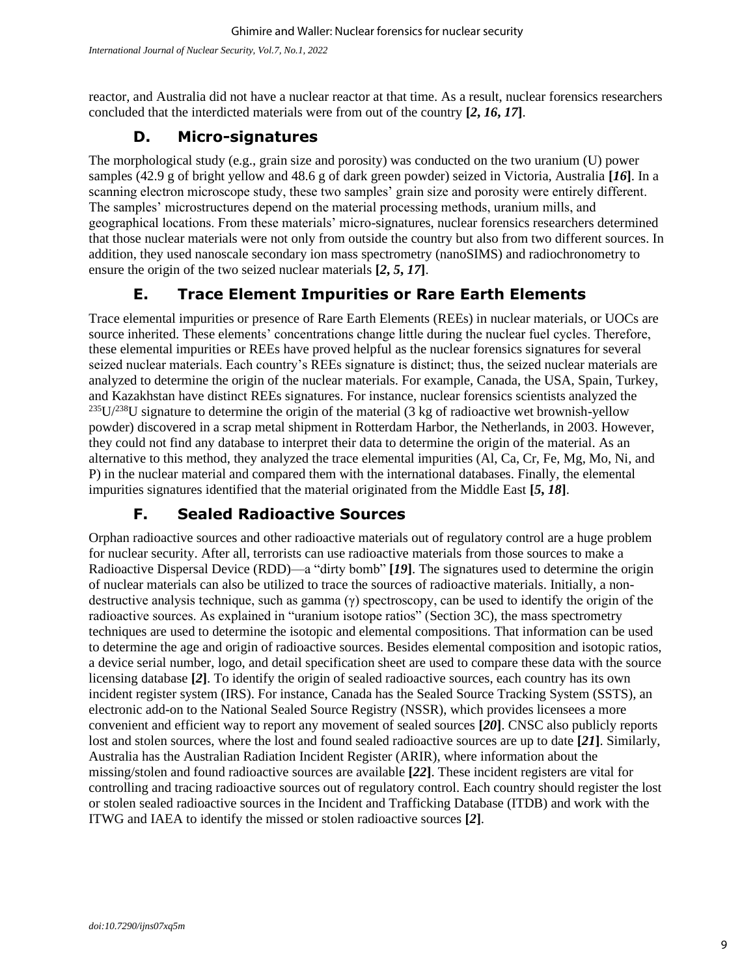reactor, and Australia did not have a nuclear reactor at that time. As a result, nuclear forensics researchers concluded that the interdicted materials were from out of the country **[***2***,** *16***,** *17***]**.

#### **D. Micro-signatures**

The morphological study (e.g., grain size and porosity) was conducted on the two uranium (U) power samples (42.9 g of bright yellow and 48.6 g of dark green powder) seized in Victoria, Australia **[***16***]**. In a scanning electron microscope study, these two samples' grain size and porosity were entirely different. The samples' microstructures depend on the material processing methods, uranium mills, and geographical locations. From these materials' micro-signatures, nuclear forensics researchers determined that those nuclear materials were not only from outside the country but also from two different sources. In addition, they used nanoscale secondary ion mass spectrometry (nanoSIMS) and radiochronometry to ensure the origin of the two seized nuclear materials **[***2***,** *5***,** *17***]**.

### **E. Trace Element Impurities or Rare Earth Elements**

Trace elemental impurities or presence of Rare Earth Elements (REEs) in nuclear materials, or UOCs are source inherited. These elements' concentrations change little during the nuclear fuel cycles. Therefore, these elemental impurities or REEs have proved helpful as the nuclear forensics signatures for several seized nuclear materials. Each country's REEs signature is distinct; thus, the seized nuclear materials are analyzed to determine the origin of the nuclear materials. For example, Canada, the USA, Spain, Turkey, and Kazakhstan have distinct REEs signatures. For instance, nuclear forensics scientists analyzed the  $^{235}U^{238}U$  signature to determine the origin of the material (3 kg of radioactive wet brownish-yellow powder) discovered in a scrap metal shipment in Rotterdam Harbor, the Netherlands, in 2003. However, they could not find any database to interpret their data to determine the origin of the material. As an alternative to this method, they analyzed the trace elemental impurities (Al, Ca, Cr, Fe, Mg, Mo, Ni, and P) in the nuclear material and compared them with the international databases. Finally, the elemental impurities signatures identified that the material originated from the Middle East **[***5***,** *18***]**.

#### **F. Sealed Radioactive Sources**

Orphan radioactive sources and other radioactive materials out of regulatory control are a huge problem for nuclear security. After all, terrorists can use radioactive materials from those sources to make a Radioactive Dispersal Device (RDD)—a "dirty bomb" **[***19***]**. The signatures used to determine the origin of nuclear materials can also be utilized to trace the sources of radioactive materials. Initially, a nondestructive analysis technique, such as gamma  $(\gamma)$  spectroscopy, can be used to identify the origin of the radioactive sources. As explained in "uranium isotope ratios" (Section 3C), the mass spectrometry techniques are used to determine the isotopic and elemental compositions. That information can be used to determine the age and origin of radioactive sources. Besides elemental composition and isotopic ratios, a device serial number, logo, and detail specification sheet are used to compare these data with the source licensing database **[***2***]**. To identify the origin of sealed radioactive sources, each country has its own incident register system (IRS). For instance, Canada has the Sealed Source Tracking System (SSTS), an electronic add-on to the National Sealed Source Registry (NSSR), which provides licensees a more convenient and efficient way to report any movement of sealed sources **[***20***]**. CNSC also publicly reports lost and stolen sources, where the lost and found sealed radioactive sources are up to date **[***21***]**. Similarly, Australia has the Australian Radiation Incident Register (ARIR), where information about the missing/stolen and found radioactive sources are available **[***22***]**. These incident registers are vital for controlling and tracing radioactive sources out of regulatory control. Each country should register the lost or stolen sealed radioactive sources in the Incident and Trafficking Database (ITDB) and work with the ITWG and IAEA to identify the missed or stolen radioactive sources **[***2***]**.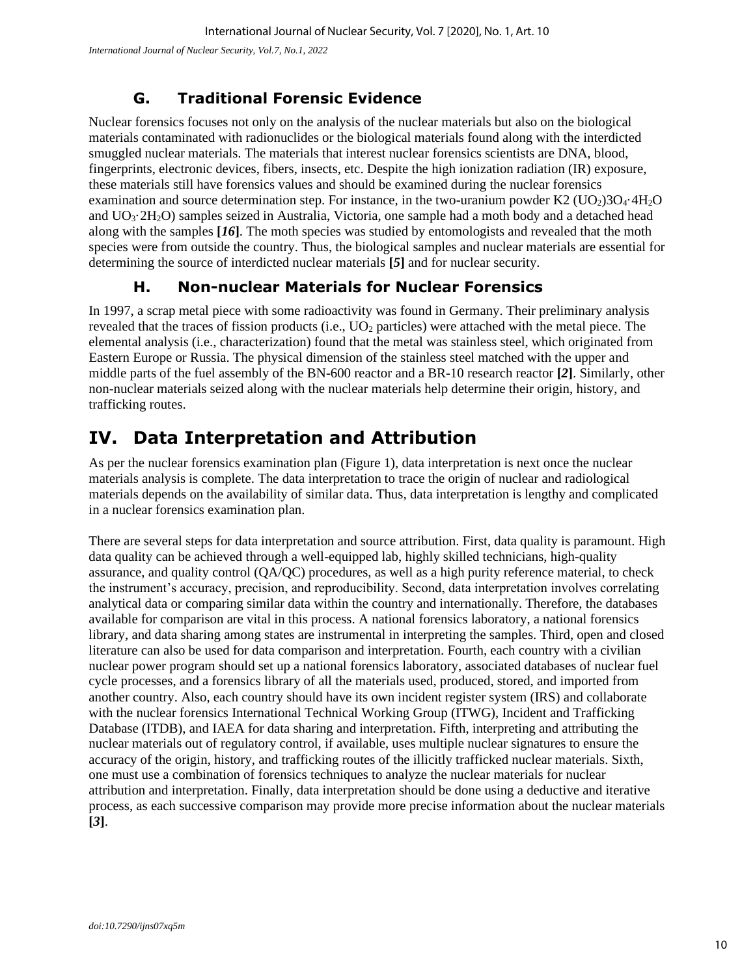*International Journal of Nuclear Security, Vol.7, No.1, 2022*

#### **G. Traditional Forensic Evidence**

Nuclear forensics focuses not only on the analysis of the nuclear materials but also on the biological materials contaminated with radionuclides or the biological materials found along with the interdicted smuggled nuclear materials. The materials that interest nuclear forensics scientists are DNA, blood, fingerprints, electronic devices, fibers, insects, etc. Despite the high ionization radiation (IR) exposure, these materials still have forensics values and should be examined during the nuclear forensics examination and source determination step. For instance, in the two-uranium powder K2 ( $UO<sub>2</sub>$ )3O<sub>4</sub>·4H<sub>2</sub>O and UO3·2H2O) samples seized in Australia, Victoria, one sample had a moth body and a detached head along with the samples **[***16***]**. The moth species was studied by entomologists and revealed that the moth species were from outside the country. Thus, the biological samples and nuclear materials are essential for determining the source of interdicted nuclear materials **[***5***]** and for nuclear security.

#### **H. Non-nuclear Materials for Nuclear Forensics**

In 1997, a scrap metal piece with some radioactivity was found in Germany. Their preliminary analysis revealed that the traces of fission products (i.e., UO<sub>2</sub> particles) were attached with the metal piece. The elemental analysis (i.e., characterization) found that the metal was stainless steel, which originated from Eastern Europe or Russia. The physical dimension of the stainless steel matched with the upper and middle parts of the fuel assembly of the BN-600 reactor and a BR-10 research reactor **[***2***]**. Similarly, other non-nuclear materials seized along with the nuclear materials help determine their origin, history, and trafficking routes.

# **IV. Data Interpretation and Attribution**

As per the nuclear forensics examination plan (Figure 1), data interpretation is next once the nuclear materials analysis is complete. The data interpretation to trace the origin of nuclear and radiological materials depends on the availability of similar data. Thus, data interpretation is lengthy and complicated in a nuclear forensics examination plan.

There are several steps for data interpretation and source attribution. First, data quality is paramount. High data quality can be achieved through a well-equipped lab, highly skilled technicians, high-quality assurance, and quality control (QA/QC) procedures, as well as a high purity reference material, to check the instrument's accuracy, precision, and reproducibility. Second, data interpretation involves correlating analytical data or comparing similar data within the country and internationally. Therefore, the databases available for comparison are vital in this process. A national forensics laboratory, a national forensics library, and data sharing among states are instrumental in interpreting the samples. Third, open and closed literature can also be used for data comparison and interpretation. Fourth, each country with a civilian nuclear power program should set up a national forensics laboratory, associated databases of nuclear fuel cycle processes, and a forensics library of all the materials used, produced, stored, and imported from another country. Also, each country should have its own incident register system (IRS) and collaborate with the nuclear forensics International Technical Working Group (ITWG), Incident and Trafficking Database (ITDB), and IAEA for data sharing and interpretation. Fifth, interpreting and attributing the nuclear materials out of regulatory control, if available, uses multiple nuclear signatures to ensure the accuracy of the origin, history, and trafficking routes of the illicitly trafficked nuclear materials. Sixth, one must use a combination of forensics techniques to analyze the nuclear materials for nuclear attribution and interpretation. Finally, data interpretation should be done using a deductive and iterative process, as each successive comparison may provide more precise information about the nuclear materials **[***3***]**.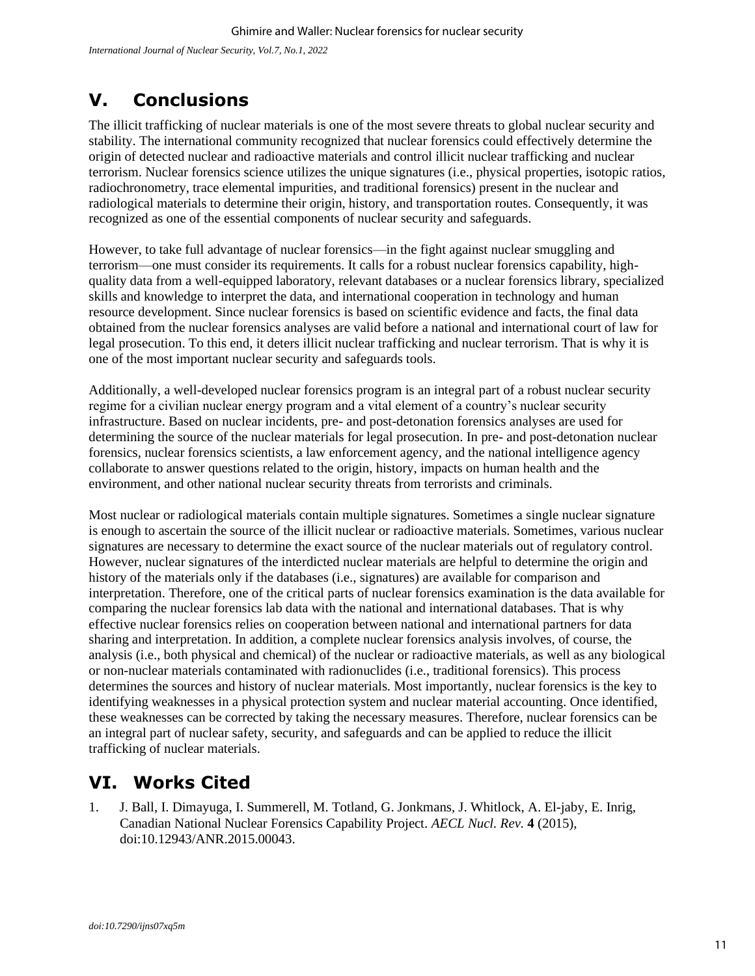# **V. Conclusions**

The illicit trafficking of nuclear materials is one of the most severe threats to global nuclear security and stability. The international community recognized that nuclear forensics could effectively determine the origin of detected nuclear and radioactive materials and control illicit nuclear trafficking and nuclear terrorism. Nuclear forensics science utilizes the unique signatures (i.e., physical properties, isotopic ratios, radiochronometry, trace elemental impurities, and traditional forensics) present in the nuclear and radiological materials to determine their origin, history, and transportation routes. Consequently, it was recognized as one of the essential components of nuclear security and safeguards.

However, to take full advantage of nuclear forensics—in the fight against nuclear smuggling and terrorism—one must consider its requirements. It calls for a robust nuclear forensics capability, highquality data from a well-equipped laboratory, relevant databases or a nuclear forensics library, specialized skills and knowledge to interpret the data, and international cooperation in technology and human resource development. Since nuclear forensics is based on scientific evidence and facts, the final data obtained from the nuclear forensics analyses are valid before a national and international court of law for legal prosecution. To this end, it deters illicit nuclear trafficking and nuclear terrorism. That is why it is one of the most important nuclear security and safeguards tools.

Additionally, a well-developed nuclear forensics program is an integral part of a robust nuclear security regime for a civilian nuclear energy program and a vital element of a country's nuclear security infrastructure. Based on nuclear incidents, pre- and post-detonation forensics analyses are used for determining the source of the nuclear materials for legal prosecution. In pre- and post-detonation nuclear forensics, nuclear forensics scientists, a law enforcement agency, and the national intelligence agency collaborate to answer questions related to the origin, history, impacts on human health and the environment, and other national nuclear security threats from terrorists and criminals.

Most nuclear or radiological materials contain multiple signatures. Sometimes a single nuclear signature is enough to ascertain the source of the illicit nuclear or radioactive materials. Sometimes, various nuclear signatures are necessary to determine the exact source of the nuclear materials out of regulatory control. However, nuclear signatures of the interdicted nuclear materials are helpful to determine the origin and history of the materials only if the databases (i.e., signatures) are available for comparison and interpretation. Therefore, one of the critical parts of nuclear forensics examination is the data available for comparing the nuclear forensics lab data with the national and international databases. That is why effective nuclear forensics relies on cooperation between national and international partners for data sharing and interpretation. In addition, a complete nuclear forensics analysis involves, of course, the analysis (i.e., both physical and chemical) of the nuclear or radioactive materials, as well as any biological or non-nuclear materials contaminated with radionuclides (i.e., traditional forensics). This process determines the sources and history of nuclear materials. Most importantly, nuclear forensics is the key to identifying weaknesses in a physical protection system and nuclear material accounting. Once identified, these weaknesses can be corrected by taking the necessary measures. Therefore, nuclear forensics can be an integral part of nuclear safety, security, and safeguards and can be applied to reduce the illicit trafficking of nuclear materials.

# **VI. Works Cited**

1. J. Ball, I. Dimayuga, I. Summerell, M. Totland, G. Jonkmans, J. Whitlock, A. El-jaby, E. Inrig, Canadian National Nuclear Forensics Capability Project. *AECL Nucl. Rev.* **4** (2015), doi:10.12943/ANR.2015.00043.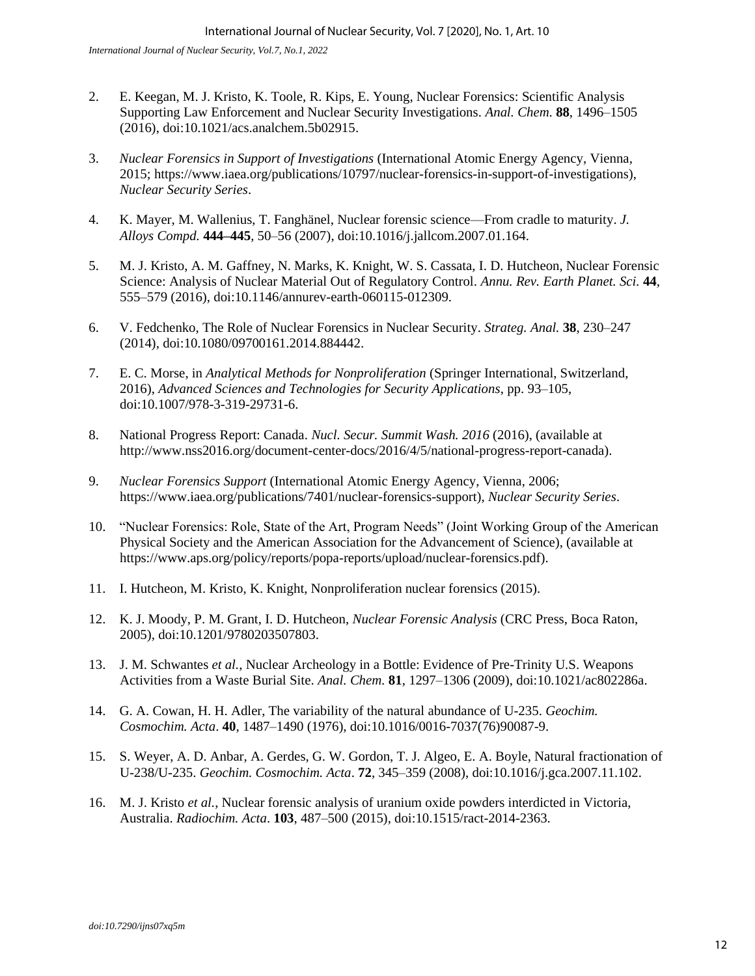- 2. E. Keegan, M. J. Kristo, K. Toole, R. Kips, E. Young, Nuclear Forensics: Scientific Analysis Supporting Law Enforcement and Nuclear Security Investigations. *Anal. Chem.* **88**, 1496–1505 (2016), doi:10.1021/acs.analchem.5b02915.
- 3. *Nuclear Forensics in Support of Investigations* (International Atomic Energy Agency, Vienna, 2015; https://www.iaea.org/publications/10797/nuclear-forensics-in-support-of-investigations), *Nuclear Security Series*.
- 4. K. Mayer, M. Wallenius, T. Fanghänel, Nuclear forensic science—From cradle to maturity. *J. Alloys Compd.* **444–445**, 50–56 (2007), doi:10.1016/j.jallcom.2007.01.164.
- 5. M. J. Kristo, A. M. Gaffney, N. Marks, K. Knight, W. S. Cassata, I. D. Hutcheon, Nuclear Forensic Science: Analysis of Nuclear Material Out of Regulatory Control. *Annu. Rev. Earth Planet. Sci.* **44**, 555–579 (2016), doi:10.1146/annurev-earth-060115-012309.
- 6. V. Fedchenko, The Role of Nuclear Forensics in Nuclear Security. *Strateg. Anal.* **38**, 230–247 (2014), doi:10.1080/09700161.2014.884442.
- 7. E. C. Morse, in *Analytical Methods for Nonproliferation* (Springer International, Switzerland, 2016), *Advanced Sciences and Technologies for Security Applications*, pp. 93–105, doi:10.1007/978-3-319-29731-6.
- 8. National Progress Report: Canada. *Nucl. Secur. Summit Wash. 2016* (2016), (available at http://www.nss2016.org/document-center-docs/2016/4/5/national-progress-report-canada).
- 9. *Nuclear Forensics Support* (International Atomic Energy Agency, Vienna, 2006; https://www.iaea.org/publications/7401/nuclear-forensics-support), *Nuclear Security Series*.
- 10. "Nuclear Forensics: Role, State of the Art, Program Needs" (Joint Working Group of the American Physical Society and the American Association for the Advancement of Science), (available at https://www.aps.org/policy/reports/popa-reports/upload/nuclear-forensics.pdf).
- 11. I. Hutcheon, M. Kristo, K. Knight, Nonproliferation nuclear forensics (2015).
- 12. K. J. Moody, P. M. Grant, I. D. Hutcheon, *Nuclear Forensic Analysis* (CRC Press, Boca Raton, 2005), doi:10.1201/9780203507803.
- 13. J. M. Schwantes *et al.*, Nuclear Archeology in a Bottle: Evidence of Pre-Trinity U.S. Weapons Activities from a Waste Burial Site. *Anal. Chem.* **81**, 1297–1306 (2009), doi:10.1021/ac802286a.
- 14. G. A. Cowan, H. H. Adler, The variability of the natural abundance of U-235. *Geochim. Cosmochim. Acta*. **40**, 1487–1490 (1976), doi:10.1016/0016-7037(76)90087-9.
- 15. S. Weyer, A. D. Anbar, A. Gerdes, G. W. Gordon, T. J. Algeo, E. A. Boyle, Natural fractionation of U-238/U-235. *Geochim. Cosmochim. Acta*. **72**, 345–359 (2008), doi:10.1016/j.gca.2007.11.102.
- 16. M. J. Kristo *et al.*, Nuclear forensic analysis of uranium oxide powders interdicted in Victoria, Australia. *Radiochim. Acta*. **103**, 487–500 (2015), doi:10.1515/ract-2014-2363.